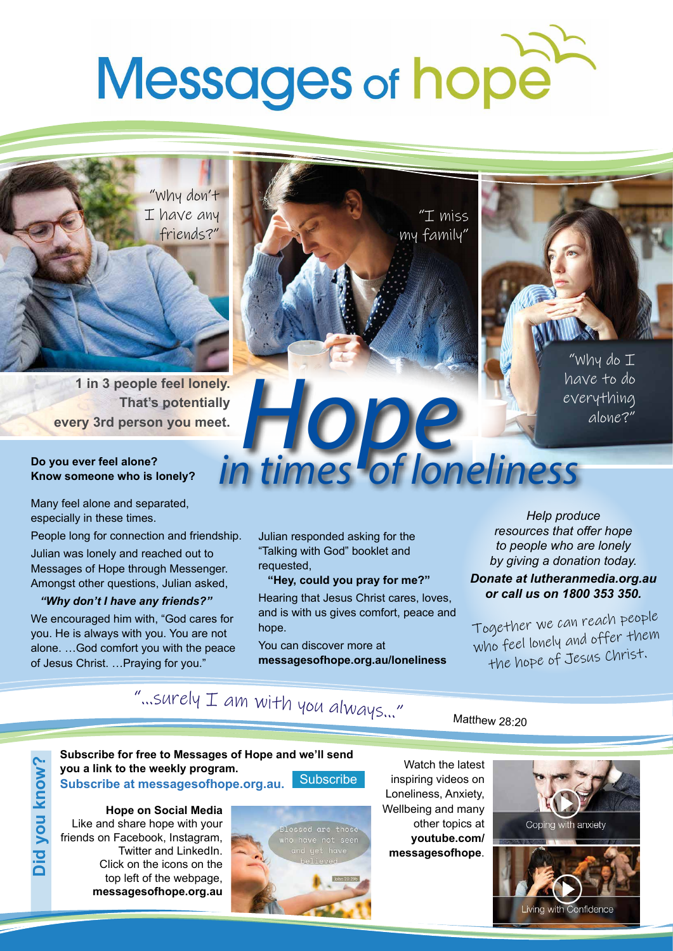# **Messages of hope**

"Why don't I have any friends?"

**1 in 3 people feel lonely. That's potentially every 3rd person you meet.**

## **Do you ever feel alone? Know someone who is lonely?**

Many feel alone and separated, especially in these times.

People long for connection and friendship.

Julian was lonely and reached out to Messages of Hope through Messenger. Amongst other questions, Julian asked,

## *"Why don't I have any friends?"*

We encouraged him with, "God cares for you. He is always with you. You are not alone. …God comfort you with the peace of Jesus Christ. …Praying for you."





"Why do I have to do everything alone?"

## Julian responded asking for the "Talking with God" booklet and requested,

 **"Hey, could you pray for me?"** Hearing that Jesus Christ cares, loves, and is with us gives comfort, peace and hope.

in times of loneliness

You can discover more at **messagesofhope.org.au/loneliness**

*Help produce resources that offer hope to people who are lonely by giving a donation today.* 

#### *Donate at lutheranmedia.org.au or call us on 1800 353 350.*

Together we can reach people who feel lonely and offer them the hope of Jesus Christ.

# "…surel<sup>y</sup> <sup>I</sup> <sup>a</sup><sup>m</sup> <sup>w</sup>it<sup>h</sup> <sup>y</sup><sup>o</sup><sup>u</sup> <sup>a</sup>lways…"

## Matthew 28:20



**Hope on Social Media** Like and share hope with your friends on Facebook, Instagram, Twitter and LinkedIn. Click on the icons on the top left of the webpage, **messagesofhope.org.au**



Watch the latest inspiring videos on Loneliness, Anxiety, Wellbeing and many other topics at **youtube.com/ messagesofhope**.